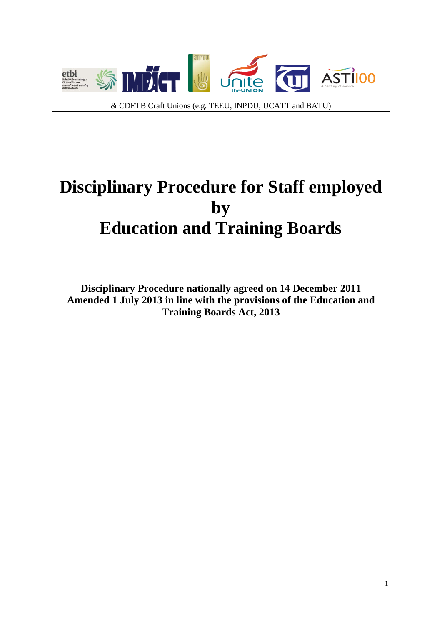

# **Disciplinary Procedure for Staff employed by Education and Training Boards**

**Disciplinary Procedure nationally agreed on 14 December 2011 Amended 1 July 2013 in line with the provisions of the Education and Training Boards Act, 2013**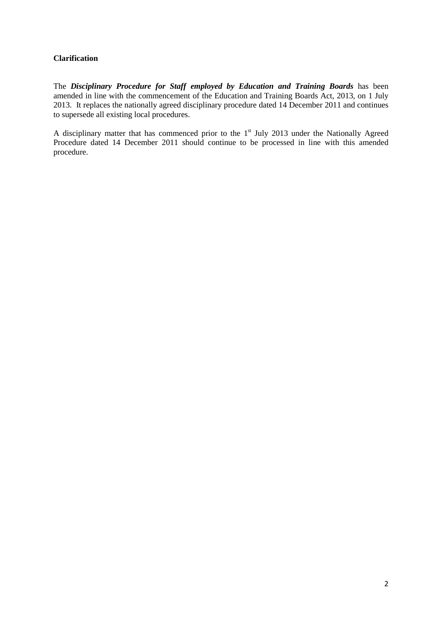## **Clarification**

The *Disciplinary Procedure for Staff employed by Education and Training Boards* has been amended in line with the commencement of the Education and Training Boards Act, 2013, on 1 July 2013. It replaces the nationally agreed disciplinary procedure dated 14 December 2011 and continues to supersede all existing local procedures.

A disciplinary matter that has commenced prior to the 1<sup>st</sup> July 2013 under the Nationally Agreed Procedure dated 14 December 2011 should continue to be processed in line with this amended procedure.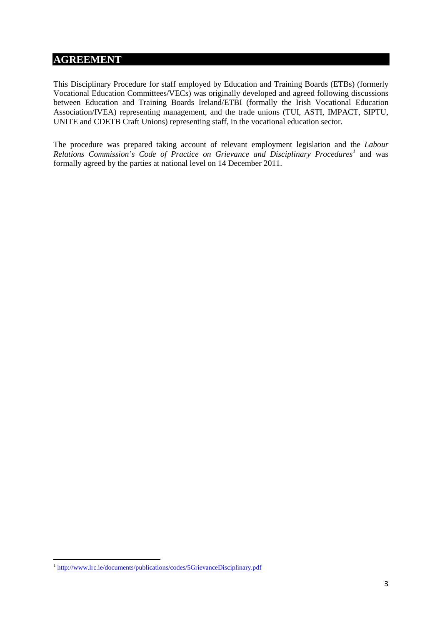# **AGREEMENT**

This Disciplinary Procedure for staff employed by Education and Training Boards (ETBs) (formerly Vocational Education Committees/VECs) was originally developed and agreed following discussions between Education and Training Boards Ireland/ETBI (formally the Irish Vocational Education Association/IVEA) representing management, and the trade unions (TUI, ASTI, IMPACT, SIPTU, UNITE and CDETB Craft Unions) representing staff, in the vocational education sector.

The procedure was prepared taking account of relevant employment legislation and the *Labour Relations Commission's Code of Practice on Grievance and Disciplinary Procedures[1](#page-2-0)* and was formally agreed by the parties at national level on 14 December 2011.

<span id="page-2-0"></span> <sup>1</sup> <http://www.lrc.ie/documents/publications/codes/5GrievanceDisciplinary.pdf>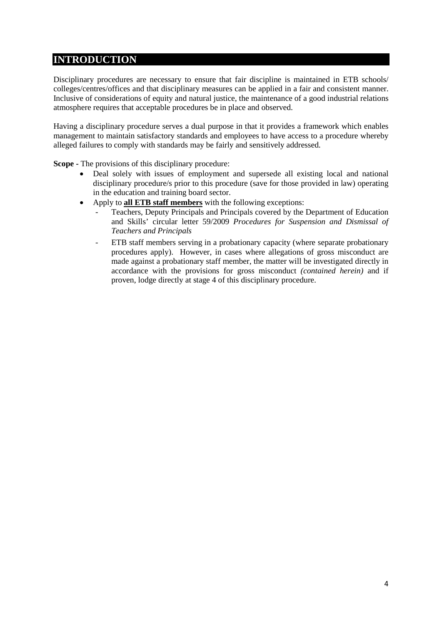# **INTRODUCTION**

Disciplinary procedures are necessary to ensure that fair discipline is maintained in ETB schools/ colleges/centres/offices and that disciplinary measures can be applied in a fair and consistent manner. Inclusive of considerations of equity and natural justice, the maintenance of a good industrial relations atmosphere requires that acceptable procedures be in place and observed.

Having a disciplinary procedure serves a dual purpose in that it provides a framework which enables management to maintain satisfactory standards and employees to have access to a procedure whereby alleged failures to comply with standards may be fairly and sensitively addressed.

**Scope -** The provisions of this disciplinary procedure:

- Deal solely with issues of employment and supersede all existing local and national disciplinary procedure/s prior to this procedure (save for those provided in law) operating in the education and training board sector.
- Apply to **all ETB staff members** with the following exceptions:
	- Teachers, Deputy Principals and Principals covered by the Department of Education and Skills' circular letter 59/2009 *Procedures for Suspension and Dismissal of Teachers and Principals*
	- ETB staff members serving in a probationary capacity (where separate probationary procedures apply). However, in cases where allegations of gross misconduct are made against a probationary staff member, the matter will be investigated directly in accordance with the provisions for gross misconduct *(contained herein)* and if proven, lodge directly at stage 4 of this disciplinary procedure.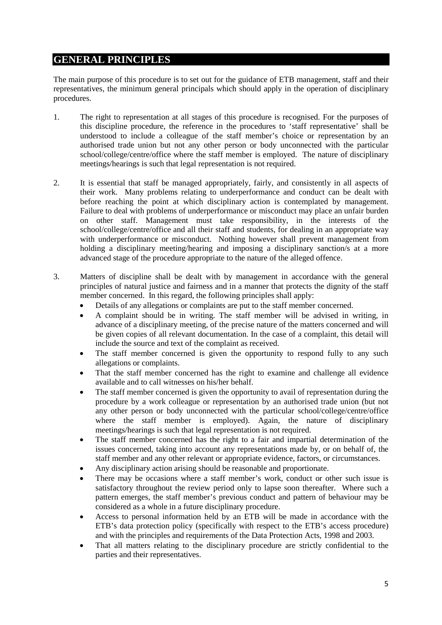# **GENERAL PRINCIPLES**

The main purpose of this procedure is to set out for the guidance of ETB management, staff and their representatives, the minimum general principals which should apply in the operation of disciplinary procedures.

- 1. The right to representation at all stages of this procedure is recognised. For the purposes of this discipline procedure, the reference in the procedures to 'staff representative' shall be understood to include a colleague of the staff member's choice or representation by an authorised trade union but not any other person or body unconnected with the particular school/college/centre/office where the staff member is employed. The nature of disciplinary meetings/hearings is such that legal representation is not required.
- 2. It is essential that staff be managed appropriately, fairly, and consistently in all aspects of their work. Many problems relating to underperformance and conduct can be dealt with before reaching the point at which disciplinary action is contemplated by management. Failure to deal with problems of underperformance or misconduct may place an unfair burden on other staff. Management must take responsibility, in the interests of the school/college/centre/office and all their staff and students, for dealing in an appropriate way with underperformance or misconduct. Nothing however shall prevent management from holding a disciplinary meeting/hearing and imposing a disciplinary sanction/s at a more advanced stage of the procedure appropriate to the nature of the alleged offence.
- 3. Matters of discipline shall be dealt with by management in accordance with the general principles of natural justice and fairness and in a manner that protects the dignity of the staff member concerned. In this regard, the following principles shall apply:
	- Details of any allegations or complaints are put to the staff member concerned.
	- A complaint should be in writing. The staff member will be advised in writing, in advance of a disciplinary meeting, of the precise nature of the matters concerned and will be given copies of all relevant documentation. In the case of a complaint, this detail will include the source and text of the complaint as received.
	- The staff member concerned is given the opportunity to respond fully to any such allegations or complaints.
	- That the staff member concerned has the right to examine and challenge all evidence available and to call witnesses on his/her behalf.
	- The staff member concerned is given the opportunity to avail of representation during the procedure by a work colleague or representation by an authorised trade union (but not any other person or body unconnected with the particular school/college/centre/office where the staff member is employed). Again, the nature of disciplinary meetings/hearings is such that legal representation is not required.
	- The staff member concerned has the right to a fair and impartial determination of the issues concerned, taking into account any representations made by, or on behalf of, the staff member and any other relevant or appropriate evidence, factors, or circumstances.
	- Any disciplinary action arising should be reasonable and proportionate.
	- There may be occasions where a staff member's work, conduct or other such issue is satisfactory throughout the review period only to lapse soon thereafter. Where such a pattern emerges, the staff member's previous conduct and pattern of behaviour may be considered as a whole in a future disciplinary procedure.
	- Access to personal information held by an ETB will be made in accordance with the ETB's data protection policy (specifically with respect to the ETB's access procedure) and with the principles and requirements of the Data Protection Acts, 1998 and 2003.
	- That all matters relating to the disciplinary procedure are strictly confidential to the parties and their representatives.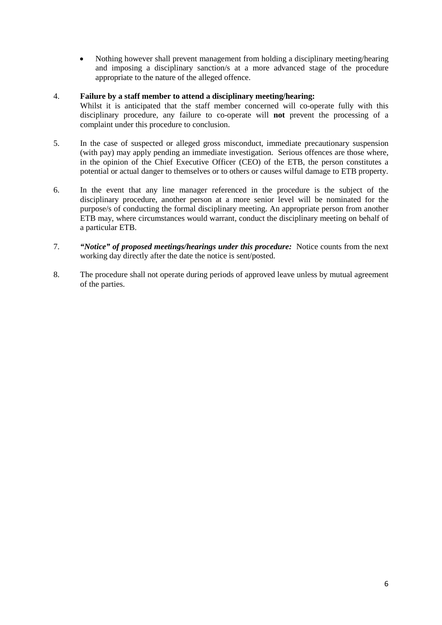• Nothing however shall prevent management from holding a disciplinary meeting/hearing and imposing a disciplinary sanction/s at a more advanced stage of the procedure appropriate to the nature of the alleged offence.

### 4. **Failure by a staff member to attend a disciplinary meeting/hearing:**

- Whilst it is anticipated that the staff member concerned will co-operate fully with this disciplinary procedure, any failure to co-operate will **not** prevent the processing of a complaint under this procedure to conclusion.
- 5. In the case of suspected or alleged gross misconduct, immediate precautionary suspension (with pay) may apply pending an immediate investigation. Serious offences are those where, in the opinion of the Chief Executive Officer (CEO) of the ETB, the person constitutes a potential or actual danger to themselves or to others or causes wilful damage to ETB property.
- 6. In the event that any line manager referenced in the procedure is the subject of the disciplinary procedure, another person at a more senior level will be nominated for the purpose/s of conducting the formal disciplinary meeting. An appropriate person from another ETB may, where circumstances would warrant, conduct the disciplinary meeting on behalf of a particular ETB.
- 7. *"Notice" of proposed meetings/hearings under this procedure:* Notice counts from the next working day directly after the date the notice is sent/posted.
- 8. The procedure shall not operate during periods of approved leave unless by mutual agreement of the parties.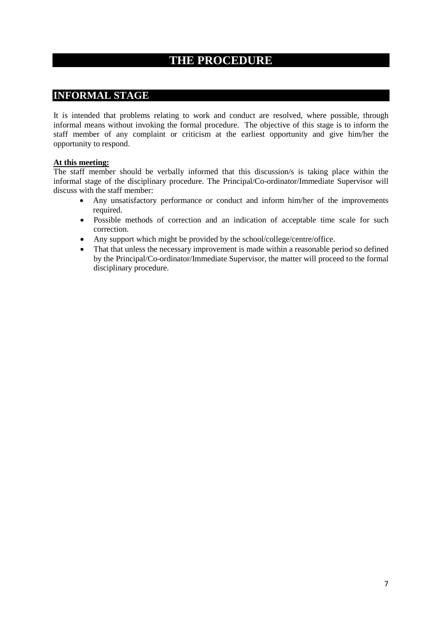# **THE PROCEDURE**

# **INFORMAL STAGE**

It is intended that problems relating to work and conduct are resolved, where possible, through informal means without invoking the formal procedure. The objective of this stage is to inform the staff member of any complaint or criticism at the earliest opportunity and give him/her the opportunity to respond.

# **At this meeting:**

The staff member should be verbally informed that this discussion/s is taking place within the informal stage of the disciplinary procedure. The Principal/Co-ordinator/Immediate Supervisor will discuss with the staff member:

- Any unsatisfactory performance or conduct and inform him/her of the improvements required.
- Possible methods of correction and an indication of acceptable time scale for such correction.
- Any support which might be provided by the school/college/centre/office.
- That that unless the necessary improvement is made within a reasonable period so defined by the Principal/Co-ordinator/Immediate Supervisor, the matter will proceed to the formal disciplinary procedure.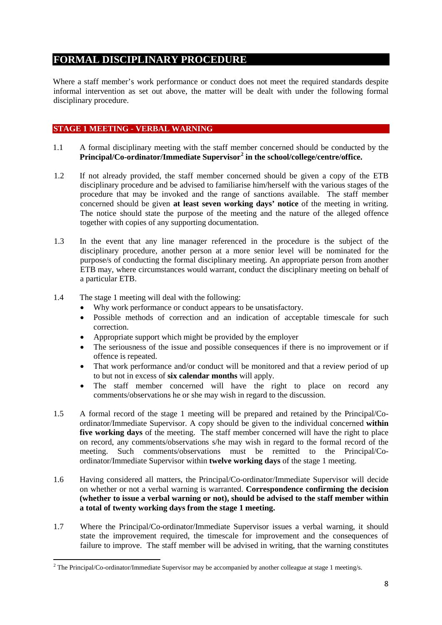# **FORMAL DISCIPLINARY PROCEDURE**

Where a staff member's work performance or conduct does not meet the required standards despite informal intervention as set out above, the matter will be dealt with under the following formal disciplinary procedure.

# **STAGE 1 MEETING - VERBAL WARNING**

- 1.1 A formal disciplinary meeting with the staff member concerned should be conducted by the **Principal/Co-ordinator/Immediate Supervisor[2](#page-7-0) in the school/college/centre/office.**
- 1.2 If not already provided, the staff member concerned should be given a copy of the ETB disciplinary procedure and be advised to familiarise him/herself with the various stages of the procedure that may be invoked and the range of sanctions available. The staff member concerned should be given **at least seven working days' notice** of the meeting in writing. The notice should state the purpose of the meeting and the nature of the alleged offence together with copies of any supporting documentation.
- 1.3 In the event that any line manager referenced in the procedure is the subject of the disciplinary procedure, another person at a more senior level will be nominated for the purpose/s of conducting the formal disciplinary meeting. An appropriate person from another ETB may, where circumstances would warrant, conduct the disciplinary meeting on behalf of a particular ETB.
- 1.4 The stage 1 meeting will deal with the following:
	- Why work performance or conduct appears to be unsatisfactory.
	- Possible methods of correction and an indication of acceptable timescale for such correction.
	- Appropriate support which might be provided by the employer
	- The seriousness of the issue and possible consequences if there is no improvement or if offence is repeated.
	- That work performance and/or conduct will be monitored and that a review period of up to but not in excess of **six calendar months** will apply.
	- The staff member concerned will have the right to place on record any comments/observations he or she may wish in regard to the discussion.
- 1.5 A formal record of the stage 1 meeting will be prepared and retained by the Principal/Coordinator/Immediate Supervisor. A copy should be given to the individual concerned **within five working days** of the meeting. The staff member concerned will have the right to place on record, any comments/observations s/he may wish in regard to the formal record of the meeting. Such comments/observations must be remitted to the Principal/Coordinator/Immediate Supervisor within **twelve working days** of the stage 1 meeting.
- 1.6 Having considered all matters, the Principal/Co-ordinator/Immediate Supervisor will decide on whether or not a verbal warning is warranted. **Correspondence confirming the decision (whether to issue a verbal warning or not), should be advised to the staff member within a total of twenty working days from the stage 1 meeting.**
- 1.7 Where the Principal/Co-ordinator/Immediate Supervisor issues a verbal warning, it should state the improvement required, the timescale for improvement and the consequences of failure to improve. The staff member will be advised in writing, that the warning constitutes

<span id="page-7-0"></span> <sup>2</sup> The Principal/Co-ordinator/Immediate Supervisor may be accompanied by another colleague at stage 1 meeting/s.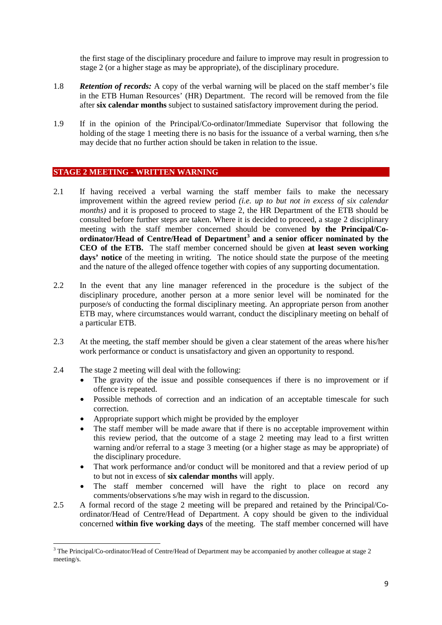the first stage of the disciplinary procedure and failure to improve may result in progression to stage 2 (or a higher stage as may be appropriate), of the disciplinary procedure.

- 1.8 *Retention of records:* A copy of the verbal warning will be placed on the staff member's file in the ETB Human Resources' (HR) Department. The record will be removed from the file after **six calendar months** subject to sustained satisfactory improvement during the period.
- 1.9 If in the opinion of the Principal/Co-ordinator/Immediate Supervisor that following the holding of the stage 1 meeting there is no basis for the issuance of a verbal warning, then s/he may decide that no further action should be taken in relation to the issue.

### **STAGE 2 MEETING - WRITTEN WARNING**

- 2.1 If having received a verbal warning the staff member fails to make the necessary improvement within the agreed review period *(i.e. up to but not in excess of six calendar months)* and it is proposed to proceed to stage 2, the HR Department of the ETB should be consulted before further steps are taken. Where it is decided to proceed, a stage 2 disciplinary meeting with the staff member concerned should be convened **by the Principal/Coordinator/Head of Centre/Head of Department[3](#page-8-0) and a senior officer nominated by the CEO of the ETB.** The staff member concerned should be given **at least seven working**  days' notice of the meeting in writing. The notice should state the purpose of the meeting and the nature of the alleged offence together with copies of any supporting documentation.
- 2.2 In the event that any line manager referenced in the procedure is the subject of the disciplinary procedure, another person at a more senior level will be nominated for the purpose/s of conducting the formal disciplinary meeting. An appropriate person from another ETB may, where circumstances would warrant, conduct the disciplinary meeting on behalf of a particular ETB.
- 2.3 At the meeting, the staff member should be given a clear statement of the areas where his/her work performance or conduct is unsatisfactory and given an opportunity to respond.
- 2.4 The stage 2 meeting will deal with the following:
	- The gravity of the issue and possible consequences if there is no improvement or if offence is repeated.
	- Possible methods of correction and an indication of an acceptable timescale for such correction.
	- Appropriate support which might be provided by the employer
	- The staff member will be made aware that if there is no acceptable improvement within this review period, that the outcome of a stage 2 meeting may lead to a first written warning and/or referral to a stage 3 meeting (or a higher stage as may be appropriate) of the disciplinary procedure.
	- That work performance and/or conduct will be monitored and that a review period of up to but not in excess of **six calendar months** will apply.
	- The staff member concerned will have the right to place on record any comments/observations s/he may wish in regard to the discussion.
- 2.5 A formal record of the stage 2 meeting will be prepared and retained by the Principal/Coordinator/Head of Centre/Head of Department. A copy should be given to the individual concerned **within five working days** of the meeting. The staff member concerned will have

<span id="page-8-0"></span><sup>&</sup>lt;sup>3</sup> The Principal/Co-ordinator/Head of Centre/Head of Department may be accompanied by another colleague at stage 2 meeting/s.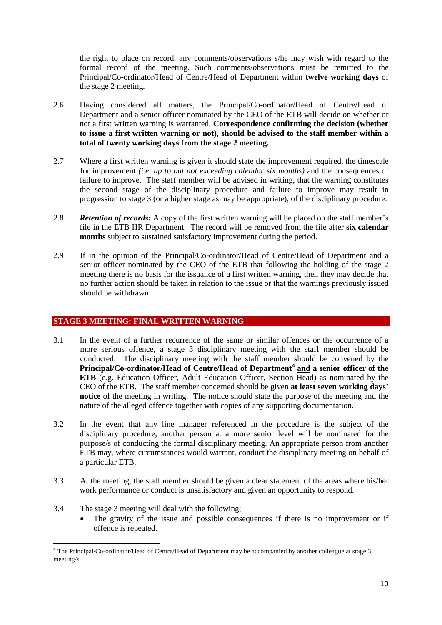the right to place on record, any comments/observations s/he may wish with regard to the formal record of the meeting. Such comments/observations must be remitted to the Principal/Co-ordinator/Head of Centre/Head of Department within **twelve working days** of the stage 2 meeting.

- 2.6 Having considered all matters, the Principal/Co-ordinator/Head of Centre/Head of Department and a senior officer nominated by the CEO of the ETB will decide on whether or not a first written warning is warranted. **Correspondence confirming the decision (whether to issue a first written warning or not), should be advised to the staff member within a total of twenty working days from the stage 2 meeting.**
- 2.7 Where a first written warning is given it should state the improvement required, the timescale for improvement *(i.e. up to but not exceeding calendar six months)* and the consequences of failure to improve. The staff member will be advised in writing, that the warning constitutes the second stage of the disciplinary procedure and failure to improve may result in progression to stage 3 (or a higher stage as may be appropriate), of the disciplinary procedure.
- 2.8 *Retention of records:* A copy of the first written warning will be placed on the staff member's file in the ETB HR Department. The record will be removed from the file after **six calendar months** subject to sustained satisfactory improvement during the period.
- 2.9 If in the opinion of the Principal/Co-ordinator/Head of Centre/Head of Department and a senior officer nominated by the CEO of the ETB that following the holding of the stage 2 meeting there is no basis for the issuance of a first written warning, then they may decide that no further action should be taken in relation to the issue or that the warnings previously issued should be withdrawn.

# **STAGE 3 MEETING: FINAL WRITTEN WARNING**

- 3.1 In the event of a further recurrence of the same or similar offences or the occurrence of a more serious offence, a stage 3 disciplinary meeting with the staff member should be conducted. The disciplinary meeting with the staff member should be convened by the **Principal/Co-ordinator/Head of Centre/Head of Department[4](#page-9-0) and a senior officer of the ETB** (e.g. Education Officer, Adult Education Officer, Section Head) as nominated by the CEO of the ETB. The staff member concerned should be given **at least seven working days' notice** of the meeting in writing. The notice should state the purpose of the meeting and the nature of the alleged offence together with copies of any supporting documentation.
- 3.2 In the event that any line manager referenced in the procedure is the subject of the disciplinary procedure, another person at a more senior level will be nominated for the purpose/s of conducting the formal disciplinary meeting. An appropriate person from another ETB may, where circumstances would warrant, conduct the disciplinary meeting on behalf of a particular ETB.
- 3.3 At the meeting, the staff member should be given a clear statement of the areas where his/her work performance or conduct is unsatisfactory and given an opportunity to respond.
- 3.4 The stage 3 meeting will deal with the following;
	- The gravity of the issue and possible consequences if there is no improvement or if offence is repeated.

<span id="page-9-0"></span> <sup>4</sup> The Principal/Co-ordinator/Head of Centre/Head of Department may be accompanied by another colleague at stage 3 meeting/s.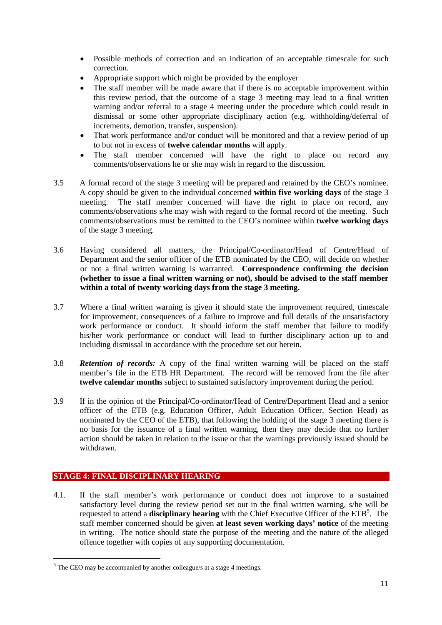- Possible methods of correction and an indication of an acceptable timescale for such correction.
- Appropriate support which might be provided by the employer
- The staff member will be made aware that if there is no acceptable improvement within this review period, that the outcome of a stage 3 meeting may lead to a final written warning and/or referral to a stage 4 meeting under the procedure which could result in dismissal or some other appropriate disciplinary action (e.g. withholding/deferral of increments, demotion, transfer, suspension).
- That work performance and/or conduct will be monitored and that a review period of up to but not in excess of **twelve calendar months** will apply.
- The staff member concerned will have the right to place on record any comments/observations he or she may wish in regard to the discussion.
- 3.5 A formal record of the stage 3 meeting will be prepared and retained by the CEO's nominee. A copy should be given to the individual concerned **within five working days** of the stage 3 meeting. The staff member concerned will have the right to place on record, any comments/observations s/he may wish with regard to the formal record of the meeting. Such comments/observations must be remitted to the CEO's nominee within **twelve working days**  of the stage 3 meeting.
- 3.6 Having considered all matters, the Principal/Co-ordinator/Head of Centre/Head of Department and the senior officer of the ETB nominated by the CEO, will decide on whether or not a final written warning is warranted. **Correspondence confirming the decision (whether to issue a final written warning or not), should be advised to the staff member within a total of twenty working days from the stage 3 meeting.**
- 3.7 Where a final written warning is given it should state the improvement required, timescale for improvement, consequences of a failure to improve and full details of the unsatisfactory work performance or conduct. It should inform the staff member that failure to modify his/her work performance or conduct will lead to further disciplinary action up to and including dismissal in accordance with the procedure set out herein.
- 3.8 *Retention of records:* A copy of the final written warning will be placed on the staff member's file in the ETB HR Department. The record will be removed from the file after **twelve calendar months** subject to sustained satisfactory improvement during the period.
- 3.9 If in the opinion of the Principal/Co-ordinator/Head of Centre/Department Head and a senior officer of the ETB (e.g. Education Officer, Adult Education Officer, Section Head) as nominated by the CEO of the ETB), that following the holding of the stage 3 meeting there is no basis for the issuance of a final written warning, then they may decide that no further action should be taken in relation to the issue or that the warnings previously issued should be withdrawn.

# **STAGE 4: FINAL DISCIPLINARY HEARING**

4.1. If the staff member's work performance or conduct does not improve to a sustained satisfactory level during the review period set out in the final written warning, s/he will be requested to attend a **disciplinary hearing** with the Chief Executive Officer of the ETB[5](#page-10-0) . The staff member concerned should be given **at least seven working days' notice** of the meeting in writing. The notice should state the purpose of the meeting and the nature of the alleged offence together with copies of any supporting documentation.

<span id="page-10-0"></span> $5$  The CEO may be accompanied by another colleague/s at a stage 4 meetings.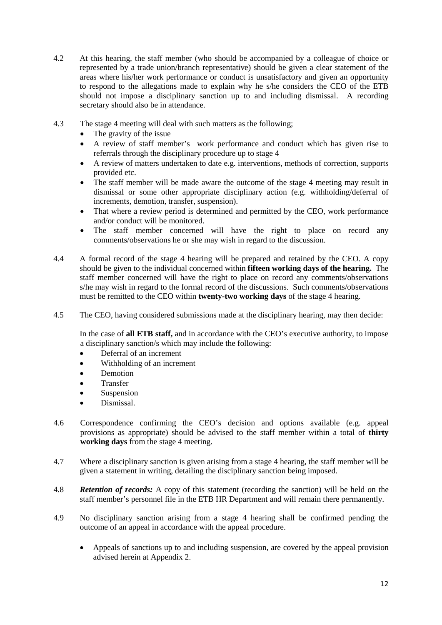- 4.2 At this hearing, the staff member (who should be accompanied by a colleague of choice or represented by a trade union/branch representative) should be given a clear statement of the areas where his/her work performance or conduct is unsatisfactory and given an opportunity to respond to the allegations made to explain why he s/he considers the CEO of the ETB should not impose a disciplinary sanction up to and including dismissal. A recording secretary should also be in attendance.
- 4.3 The stage 4 meeting will deal with such matters as the following;
	- The gravity of the issue
	- A review of staff member's work performance and conduct which has given rise to referrals through the disciplinary procedure up to stage 4
	- A review of matters undertaken to date e.g. interventions, methods of correction, supports provided etc.
	- The staff member will be made aware the outcome of the stage 4 meeting may result in dismissal or some other appropriate disciplinary action (e.g. withholding/deferral of increments, demotion, transfer, suspension).
	- That where a review period is determined and permitted by the CEO, work performance and/or conduct will be monitored.
	- The staff member concerned will have the right to place on record any comments/observations he or she may wish in regard to the discussion.
- 4.4 A formal record of the stage 4 hearing will be prepared and retained by the CEO. A copy should be given to the individual concerned within **fifteen working days of the hearing.** The staff member concerned will have the right to place on record any comments/observations s/he may wish in regard to the formal record of the discussions. Such comments/observations must be remitted to the CEO within **twenty-two working days** of the stage 4 hearing.
- 4.5 The CEO, having considered submissions made at the disciplinary hearing, may then decide:

In the case of **all ETB staff,** and in accordance with the CEO's executive authority, to impose a disciplinary sanction/s which may include the following:

- Deferral of an increment
- Withholding of an increment
- Demotion
- **Transfer**
- **Suspension**
- Dismissal.
- 4.6 Correspondence confirming the CEO's decision and options available (e.g. appeal provisions as appropriate) should be advised to the staff member within a total of **thirty working days** from the stage 4 meeting.
- 4.7 Where a disciplinary sanction is given arising from a stage 4 hearing, the staff member will be given a statement in writing, detailing the disciplinary sanction being imposed.
- 4.8 *Retention of records:* A copy of this statement (recording the sanction) will be held on the staff member's personnel file in the ETB HR Department and will remain there permanently.
- 4.9 No disciplinary sanction arising from a stage 4 hearing shall be confirmed pending the outcome of an appeal in accordance with the appeal procedure.
	- Appeals of sanctions up to and including suspension, are covered by the appeal provision advised herein at Appendix 2.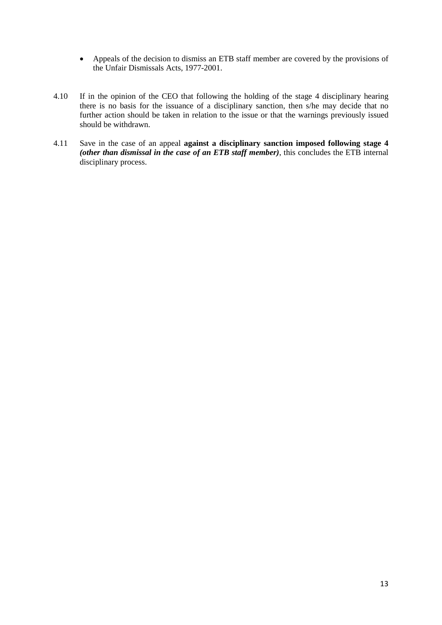- Appeals of the decision to dismiss an ETB staff member are covered by the provisions of the Unfair Dismissals Acts, 1977-2001.
- 4.10 If in the opinion of the CEO that following the holding of the stage 4 disciplinary hearing there is no basis for the issuance of a disciplinary sanction, then s/he may decide that no further action should be taken in relation to the issue or that the warnings previously issued should be withdrawn.
- 4.11 Save in the case of an appeal **against a disciplinary sanction imposed following stage 4**  *(other than dismissal in the case of an ETB staff member)*, this concludes the ETB internal disciplinary process.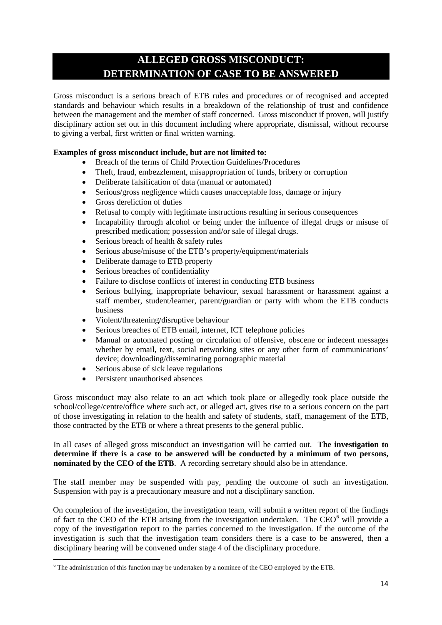# **ALLEGED GROSS MISCONDUCT: DETERMINATION OF CASE TO BE ANSWERED**

Gross misconduct is a serious breach of ETB rules and procedures or of recognised and accepted standards and behaviour which results in a breakdown of the relationship of trust and confidence between the management and the member of staff concerned. Gross misconduct if proven, will justify disciplinary action set out in this document including where appropriate, dismissal, without recourse to giving a verbal, first written or final written warning.

# **Examples of gross misconduct include, but are not limited to:**

- Breach of the terms of Child Protection Guidelines/Procedures
- Theft, fraud, embezzlement, misappropriation of funds, bribery or corruption
- Deliberate falsification of data (manual or automated)
- Serious/gross negligence which causes unacceptable loss, damage or injury
- Gross dereliction of duties
- Refusal to comply with legitimate instructions resulting in serious consequences
- Incapability through alcohol or being under the influence of illegal drugs or misuse of prescribed medication; possession and/or sale of illegal drugs.
- Serious breach of health & safety rules
- Serious abuse/misuse of the ETB's property/equipment/materials
- Deliberate damage to ETB property
- Serious breaches of confidentiality
- Failure to disclose conflicts of interest in conducting ETB business
- Serious bullying, inappropriate behaviour, sexual harassment or harassment against a staff member, student/learner, parent/guardian or party with whom the ETB conducts business
- Violent/threatening/disruptive behaviour
- Serious breaches of ETB email, internet, ICT telephone policies
- Manual or automated posting or circulation of offensive, obscene or indecent messages whether by email, text, social networking sites or any other form of communications' device; downloading/disseminating pornographic material
- Serious abuse of sick leave regulations
- Persistent unauthorised absences

Gross misconduct may also relate to an act which took place or allegedly took place outside the school/college/centre/office where such act, or alleged act, gives rise to a serious concern on the part of those investigating in relation to the health and safety of students, staff, management of the ETB, those contracted by the ETB or where a threat presents to the general public.

In all cases of alleged gross misconduct an investigation will be carried out. **The investigation to determine if there is a case to be answered will be conducted by a minimum of two persons, nominated by the CEO of the ETB**. A recording secretary should also be in attendance.

The staff member may be suspended with pay, pending the outcome of such an investigation. Suspension with pay is a precautionary measure and not a disciplinary sanction.

On completion of the investigation, the investigation team, will submit a written report of the findings of fact to the CEO of the ETB arising from the investigation undertaken. The CEO $<sup>6</sup>$  $<sup>6</sup>$  $<sup>6</sup>$  will provide a</sup> copy of the investigation report to the parties concerned to the investigation. If the outcome of the investigation is such that the investigation team considers there is a case to be answered, then a disciplinary hearing will be convened under stage 4 of the disciplinary procedure.

<span id="page-13-0"></span> <sup>6</sup> The administration of this function may be undertaken by a nominee of the CEO employed by the ETB.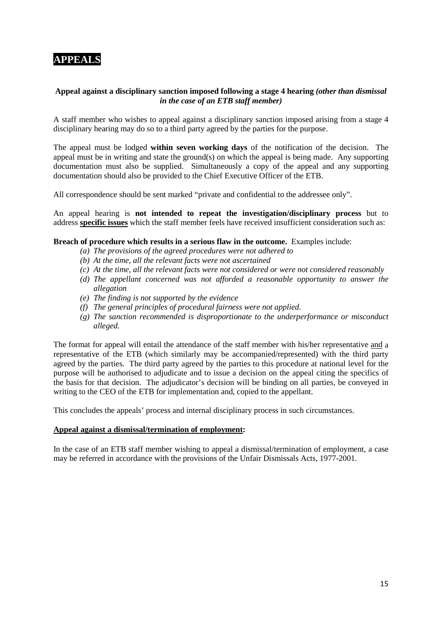# **APPEALS**

## **Appeal against a disciplinary sanction imposed following a stage 4 hearing** *(other than dismissal in the case of an ETB staff member)*

A staff member who wishes to appeal against a disciplinary sanction imposed arising from a stage 4 disciplinary hearing may do so to a third party agreed by the parties for the purpose.

The appeal must be lodged **within seven working days** of the notification of the decision. The appeal must be in writing and state the ground(s) on which the appeal is being made. Any supporting documentation must also be supplied. Simultaneously a copy of the appeal and any supporting documentation should also be provided to the Chief Executive Officer of the ETB.

All correspondence should be sent marked "private and confidential to the addressee only".

An appeal hearing is **not intended to repeat the investigation/disciplinary process** but to address **specific issues** which the staff member feels have received insufficient consideration such as:

#### **Breach of procedure which results in a serious flaw in the outcome.** Examples include:

- *(a) The provisions of the agreed procedures were not adhered to*
- *(b) At the time, all the relevant facts were not ascertained*
- *(c) At the time, all the relevant facts were not considered or were not considered reasonably*
- *(d) The appellant concerned was not afforded a reasonable opportunity to answer the allegation*
- *(e) The finding is not supported by the evidence*
- *(f) The general principles of procedural fairness were not applied.*
- *(g) The sanction recommended is disproportionate to the underperformance or misconduct alleged.*

The format for appeal will entail the attendance of the staff member with his/her representative and a representative of the ETB (which similarly may be accompanied/represented) with the third party agreed by the parties. The third party agreed by the parties to this procedure at national level for the purpose will be authorised to adjudicate and to issue a decision on the appeal citing the specifics of the basis for that decision. The adjudicator's decision will be binding on all parties, be conveyed in writing to the CEO of the ETB for implementation and, copied to the appellant.

This concludes the appeals' process and internal disciplinary process in such circumstances.

#### **Appeal against a dismissal/termination of employment:**

In the case of an ETB staff member wishing to appeal a dismissal/termination of employment, a case may be referred in accordance with the provisions of the Unfair Dismissals Acts, 1977-2001.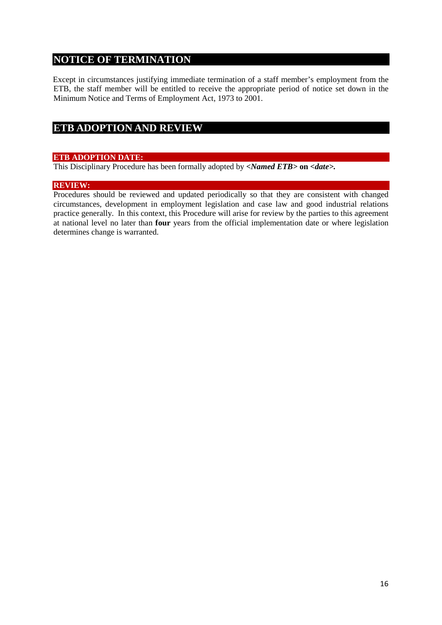# **NOTICE OF TERMINATION**

Except in circumstances justifying immediate termination of a staff member's employment from the ETB, the staff member will be entitled to receive the appropriate period of notice set down in the Minimum Notice and Terms of Employment Act, 1973 to 2001.

# **ETB ADOPTION AND REVIEW**

# **ETB ADOPTION DATE:**

This Disciplinary Procedure has been formally adopted by *<Named ETB>* **on** *<date>.*

### **REVIEW:**

Procedures should be reviewed and updated periodically so that they are consistent with changed circumstances, development in employment legislation and case law and good industrial relations practice generally. In this context, this Procedure will arise for review by the parties to this agreement at national level no later than **four** years from the official implementation date or where legislation determines change is warranted.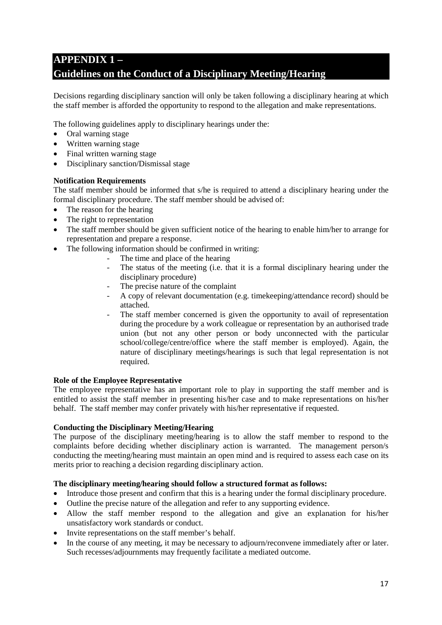# **APPENDIX 1 – Guidelines on the Conduct of a Disciplinary Meeting/Hearing**

Decisions regarding disciplinary sanction will only be taken following a disciplinary hearing at which the staff member is afforded the opportunity to respond to the allegation and make representations.

The following guidelines apply to disciplinary hearings under the:

- Oral warning stage
- Written warning stage
- Final written warning stage
- Disciplinary sanction/Dismissal stage

### **Notification Requirements**

The staff member should be informed that s/he is required to attend a disciplinary hearing under the formal disciplinary procedure. The staff member should be advised of:

- The reason for the hearing
- The right to representation
- The staff member should be given sufficient notice of the hearing to enable him/her to arrange for representation and prepare a response.
- The following information should be confirmed in writing:
	- The time and place of the hearing
	- The status of the meeting (i.e. that it is a formal disciplinary hearing under the disciplinary procedure)
	- The precise nature of the complaint
	- A copy of relevant documentation (e.g. timekeeping/attendance record) should be attached.
	- The staff member concerned is given the opportunity to avail of representation during the procedure by a work colleague or representation by an authorised trade union (but not any other person or body unconnected with the particular school/college/centre/office where the staff member is employed). Again, the nature of disciplinary meetings/hearings is such that legal representation is not required.

### **Role of the Employee Representative**

The employee representative has an important role to play in supporting the staff member and is entitled to assist the staff member in presenting his/her case and to make representations on his/her behalf. The staff member may confer privately with his/her representative if requested.

### **Conducting the Disciplinary Meeting/Hearing**

The purpose of the disciplinary meeting/hearing is to allow the staff member to respond to the complaints before deciding whether disciplinary action is warranted. The management person/s conducting the meeting/hearing must maintain an open mind and is required to assess each case on its merits prior to reaching a decision regarding disciplinary action.

### **The disciplinary meeting/hearing should follow a structured format as follows:**

- Introduce those present and confirm that this is a hearing under the formal disciplinary procedure.
- Outline the precise nature of the allegation and refer to any supporting evidence.
- Allow the staff member respond to the allegation and give an explanation for his/her unsatisfactory work standards or conduct.
- Invite representations on the staff member's behalf.
- In the course of any meeting, it may be necessary to adjourn/reconvene immediately after or later. Such recesses/adjournments may frequently facilitate a mediated outcome.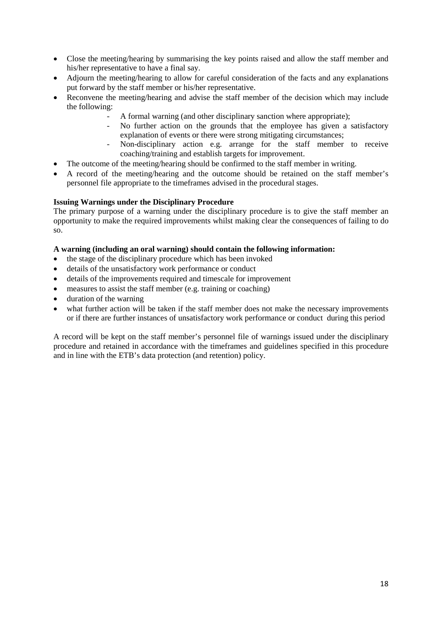- Close the meeting/hearing by summarising the key points raised and allow the staff member and his/her representative to have a final say.
- Adjourn the meeting/hearing to allow for careful consideration of the facts and any explanations put forward by the staff member or his/her representative.
- Reconvene the meeting/hearing and advise the staff member of the decision which may include the following:
	- A formal warning (and other disciplinary sanction where appropriate);
	- No further action on the grounds that the employee has given a satisfactory explanation of events or there were strong mitigating circumstances;
	- Non-disciplinary action e.g. arrange for the staff member to receive coaching/training and establish targets for improvement.
- The outcome of the meeting/hearing should be confirmed to the staff member in writing.
- A record of the meeting/hearing and the outcome should be retained on the staff member's personnel file appropriate to the timeframes advised in the procedural stages.

### **Issuing Warnings under the Disciplinary Procedure**

The primary purpose of a warning under the disciplinary procedure is to give the staff member an opportunity to make the required improvements whilst making clear the consequences of failing to do so.

### **A warning (including an oral warning) should contain the following information:**

- the stage of the disciplinary procedure which has been invoked
- details of the unsatisfactory work performance or conduct
- details of the improvements required and timescale for improvement
- measures to assist the staff member (e.g. training or coaching)
- duration of the warning
- what further action will be taken if the staff member does not make the necessary improvements or if there are further instances of unsatisfactory work performance or conduct during this period

A record will be kept on the staff member's personnel file of warnings issued under the disciplinary procedure and retained in accordance with the timeframes and guidelines specified in this procedure and in line with the ETB's data protection (and retention) policy.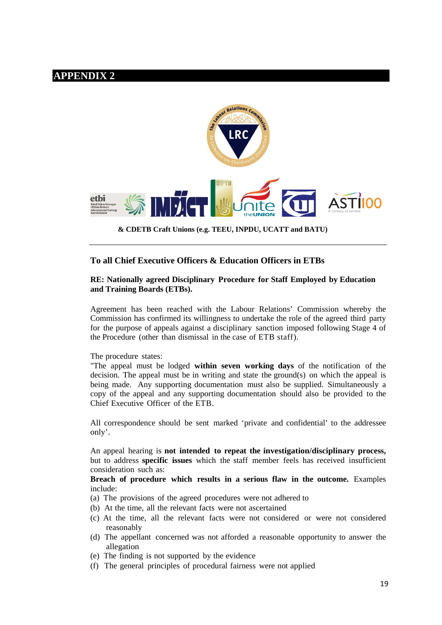# **APPENDIX 2**



 **& CDETB Craft Unions (e.g. TEEU, INPDU, UCATT and BATU)**

# **To all Chief Executive Officers & Education Officers in ETBs**

#### **RE: Nationally agreed Disciplinary Procedure for Staff Employed by Education and Training Boards (ETBs).**

Agreement has been reached with the Labour Relations' Commission whereby the Commission has confirmed its willingness to undertake the role of the agreed third party for the purpose of appeals against a disciplinary sanction imposed following Stage 4 of the Procedure (other than dismissal in the case of ETB staff).

The procedure states:

"The appeal must be lodged **within seven working days** of the notification of the decision. The appeal must be in writing and state the ground(s) on which the appeal is being made. Any supporting documentation must also be supplied. Simultaneously a copy of the appeal and any supporting documentation should also be provided to the Chief Executive Officer of the ETB.

All correspondence should be sent marked 'private and confidential' to the addressee only'.

An appeal hearing is **not intended to repeat the investigation/disciplinary process,**  but to address **specific issues** which the staff member feels has received insufficient consideration such as:

**Breach of procedure which results in a serious flaw in the outcome.** Examples include:

- (a) The provisions of the agreed procedures were not adhered to
- (b) At the time, all the relevant facts were not ascertained
- (c) At the time, all the relevant facts were not considered or were not considered reasonably
- (d) The appellant concerned was not afforded a reasonable opportunity to answer the allegation
- (e) The finding is not supported by the evidence
- (f) The general principles of procedural fairness were not applied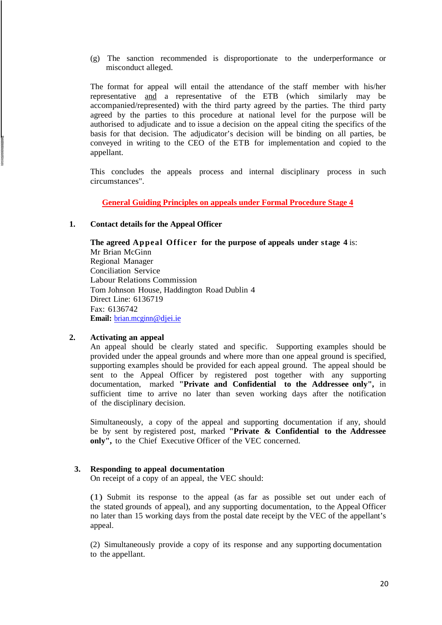(g) The sanction recommended is disproportionate to the underperformance or misconduct alleged.

The format for appeal will entail the attendance of the staff member with his/her representative and a representative of the ETB (which similarly may be accompanied/represented) with the third party agreed by the parties. The third party agreed by the parties to this procedure at national level for the purpose will be authorised to adjudicate and to issue a decision on the appeal citing the specifics of the basis for that decision. The adjudicator's decision will be binding on all parties, be conveyed in writing to the CEO of the ETB for implementation and copied to the appellant.

This concludes the appeals process and internal disciplinary process in such circumstances".

**General Guiding Principles on appeals under Formal Procedure Stage 4**

#### **1. Contact details for the Appeal Officer**

**The agreed Appeal Officer for the purpose of appeals under stage 4** is: Mr Brian McGinn Regional Manager Conciliation Service Labour Relations Commission Tom Johnson House, Haddington Road Dublin 4 Direct Line: 6136719 Fax: 6136742 **Email:** [brian.mcginn@djei.ie](mailto:brian.mcginn@djei.ie)

### **2. Activating an appeal**

An appeal should be clearly stated and specific. Supporting examples should be provided under the appeal grounds and where more than one appeal ground is specified, supporting examples should be provided for each appeal ground. The appeal should be sent to the Appeal Officer by registered post together with any supporting documentation, marked **"Private and Confidential to the Addressee only",** in sufficient time to arrive no later than seven working days after the notification of the disciplinary decision.

Simultaneously, a copy of the appeal and supporting documentation if any, should be by sent by registered post, marked **"Private & Confidential to the Addressee only",** to the Chief Executive Officer of the VEC concerned.

#### **3. Responding to appeal documentation**

On receipt of a copy of an appeal, the VEC should:

(1) Submit its response to the appeal (as far as possible set out under each of the stated grounds of appeal), and any supporting documentation, to the Appeal Officer no later than 15 working days from the postal date receipt by the VEC of the appellant's appeal.

(2) Simultaneously provide a copy of its response and any supporting documentation to the appellant.